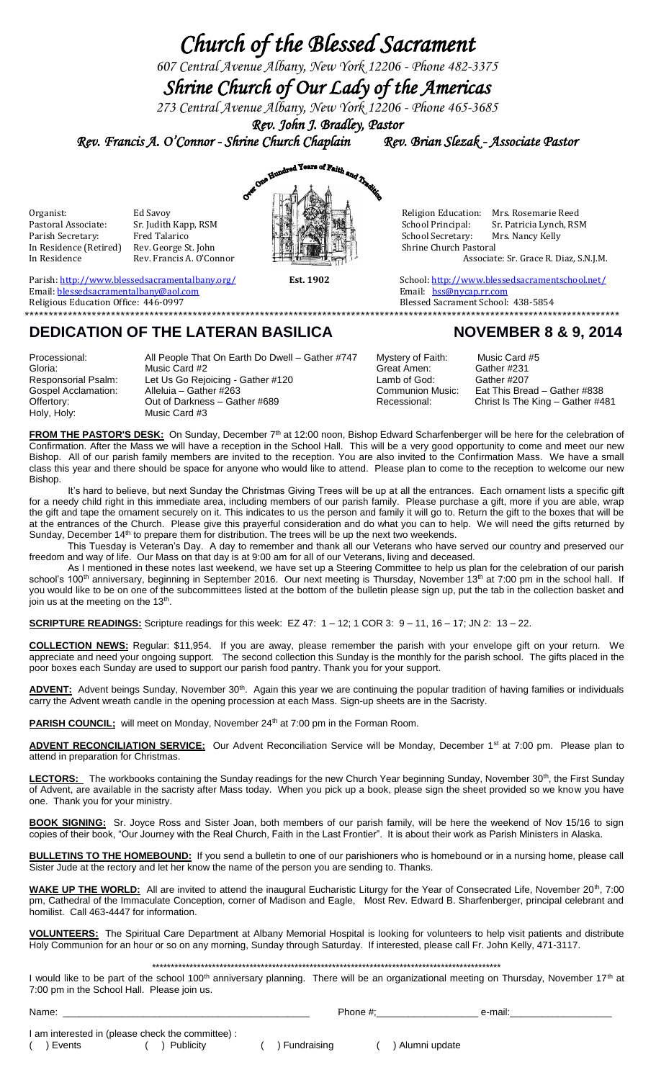## *Church of the Blessed Sacrament*

*607 Central Avenue Albany, New York 12206 - Phone 482-3375*

*Shrine Church of Our Lady of the Americas* 

*273 Central Avenue Albany, New York 12206 - Phone 465-3685*

*Rev. John J. Bradley, Pastor* 

*Rev. Francis A. O'Connor - Shrine Church Chaplain Rev. Brian Slezak - Associate Pastor* 

Sr. Judith Kapp, RSM In Residence (Retired) Rev. George St. John<br>In Residence Rev. Francis A. O'Connor



Organist: Calcavoy Ed Savoy **Ed Savoy And Alta Australian Communist** Religion Education: Mrs. Rosemarie Reed Pastoral Associate: Sr. Putith Kapp. RSM **Religion Education: Alta Australian Communist** Pastoral Associate: Sr. Parish Secretary: Fred Talarico Secretary: Mrs. Nancy Kelly<br>In Residence (Retired) Rev. George St. John School Secretary: Shrine Church Pastoral Associate: Sr. Grace R. Diaz, S.N.J.M.

Blessed Sacrament School: 438-5854

**\*\*\*\*\*\*\*\*\*\*\*\*\*\*\*\*\*\*\*\*\*\*\*\*\*\*\*\*\*\*\*\*\*\*\*\*\*\*\*\*\*\*\*\*\*\*\*\*\*\*\*\*\*\*\*\*\*\*\*\*\*\*\*\*\*\*\*\*\*\*\*\*\*\*\*\*\*\*\*\*\*\*\*\*\*\*\*\*\*\*\*\*\*\*\*\*\*\*\*\*\*\*\*\*\*\*\*\*\*\*\*\*\*\*\*\*\*\*\*\*\*\*\*\***

Parish[: http://www.blessedsacramentalbany.org/](http://www.blessedsacramentalbany.org/) **Est. 1902** School[: http://www.blessedsacramentschool.net/](http://www.blessedsacramentschool.net/)<br>
Email: <u>blessedsacramentalbany@aol.com</u> **Est. 1902** Email: <u>bss@nycap.rr.com</u> Email: **blessedsacramentalbany@aol.com**<br>Religious Education Office: 446-0997

## **DEDICATION OF THE LATERAN BASILICA NOVEMBER 8 & 9, 2014**

Processional: All People That On Earth Do Dwell – Gather #747 Mystery of Faith: Music Card #5<br>Gloria: Music Card #2<br>Great Amen: Gather #231 Gloria: Music Card #2 Great Amen: Gather #231 Responsorial Psalm: Let Us Go Rejoicing - Gather #120 Lamb of God: Gather #207<br>Gospel Acclamation: Alleluia – Gather #263 Communion Music: Eat This Bre Offertory: Christ Is The King – Gather #689 Christ Is The King – Gather #481 Holy, Holy: Christ Is The King – Gather #481 Music Card #3

Eat This Bread – Gather #838

FROM THE PASTOR'S DESK: On Sunday, December 7<sup>th</sup> at 12:00 noon, Bishop Edward Scharfenberger will be here for the celebration of Confirmation. After the Mass we will have a reception in the School Hall. This will be a very good opportunity to come and meet our new Bishop. All of our parish family members are invited to the reception. You are also invited to the Confirmation Mass. We have a small class this year and there should be space for anyone who would like to attend. Please plan to come to the reception to welcome our new Bishop.

It's hard to believe, but next Sunday the Christmas Giving Trees will be up at all the entrances. Each ornament lists a specific gift for a needy child right in this immediate area, including members of our parish family. Please purchase a gift, more if you are able, wrap the gift and tape the ornament securely on it. This indicates to us the person and family it will go to. Return the gift to the boxes that will be at the entrances of the Church. Please give this prayerful consideration and do what you can to help. We will need the gifts returned by Sunday, December 14<sup>th</sup> to prepare them for distribution. The trees will be up the next two weekends.

This Tuesday is Veteran's Day. A day to remember and thank all our Veterans who have served our country and preserved our freedom and way of life. Our Mass on that day is at 9:00 am for all of our Veterans, living and deceased.

As I mentioned in these notes last weekend, we have set up a Steering Committee to help us plan for the celebration of our parish school's 100<sup>th</sup> anniversary, beginning in September 2016. Our next meeting is Thursday, November 13<sup>th</sup> at 7:00 pm in the school hall. If you would like to be on one of the subcommittees listed at the bottom of the bulletin please sign up, put the tab in the collection basket and join us at the meeting on the 13<sup>th</sup>.

**SCRIPTURE READINGS:** Scripture readings for this week: EZ 47: 1 – 12; 1 COR 3: 9 – 11, 16 – 17; JN 2: 13 – 22.

**COLLECTION NEWS:** Regular: \$11,954. If you are away, please remember the parish with your envelope gift on your return. We appreciate and need your ongoing support. The second collection this Sunday is the monthly for the parish school. The gifts placed in the poor boxes each Sunday are used to support our parish food pantry. Thank you for your support.

ADVENT: Advent beings Sunday, November 30<sup>th</sup>. Again this year we are continuing the popular tradition of having families or individuals carry the Advent wreath candle in the opening procession at each Mass. Sign-up sheets are in the Sacristy.

PARISH COUNCIL; will meet on Monday, November 24<sup>th</sup> at 7:00 pm in the Forman Room.

ADVENT RECONCILIATION SERVICE: Our Advent Reconciliation Service will be Monday, December 1<sup>st</sup> at 7:00 pm. Please plan to attend in preparation for Christmas.

LECTORS: The workbooks containing the Sunday readings for the new Church Year beginning Sunday, November 30<sup>th</sup>, the First Sunday of Advent, are available in the sacristy after Mass today. When you pick up a book, please sign the sheet provided so we know you have one. Thank you for your ministry.

**BOOK SIGNING:** Sr. Joyce Ross and Sister Joan, both members of our parish family, will be here the weekend of Nov 15/16 to sign copies of their book, "Our Journey with the Real Church, Faith in the Last Frontier". It is about their work as Parish Ministers in Alaska.

**BULLETINS TO THE HOMEBOUND:** If you send a bulletin to one of our parishioners who is homebound or in a nursing home, please call Sister Jude at the rectory and let her know the name of the person you are sending to. Thanks.

WAKE UP THE WORLD: All are invited to attend the inaugural Eucharistic Liturgy for the Year of Consecrated Life, November 20<sup>th</sup>, 7:00 pm, Cathedral of the Immaculate Conception, corner of Madison and Eagle, Most Rev. Edward B. Sharfenberger, principal celebrant and homilist. Call 463-4447 for information.

**VOLUNTEERS:** The Spiritual Care Department at Albany Memorial Hospital is looking for volunteers to help visit patients and distribute Holy Communion for an hour or so on any morning, Sunday through Saturday. If interested, please call Fr. John Kelly, 471-3117.

\*\*\*\*\*\*\*\*\*\*\*\*\*\*\*\*\*\*\*\*\*\*\*\*\*\*\*\*\*\*\*\*\*\*\*\*\*\*\*\*\*\*\*\*\*\*\*\*\*\*\*\*\*\*\*\*\*\*\*\*\*\*\*\*\*\*\*\*\*\*\*\*\*\*\*\*\*\*\*\*\*\*\*\*\*\*\*\*\*\*\*\*\*

I would like to be part of the school 100<sup>th</sup> anniversary planning. There will be an organizational meeting on Thursday, November 17<sup>th</sup> at 7:00 pm in the School Hall. Please join us.

| Name:  |                                                   |  |               | Phone #: |               | e-mail: |
|--------|---------------------------------------------------|--|---------------|----------|---------------|---------|
|        |                                                   |  |               |          |               |         |
|        | I am interested in (please check the committee) : |  |               |          |               |         |
| Events | Publicity                                         |  | ) Fundraising |          | Alumni update |         |